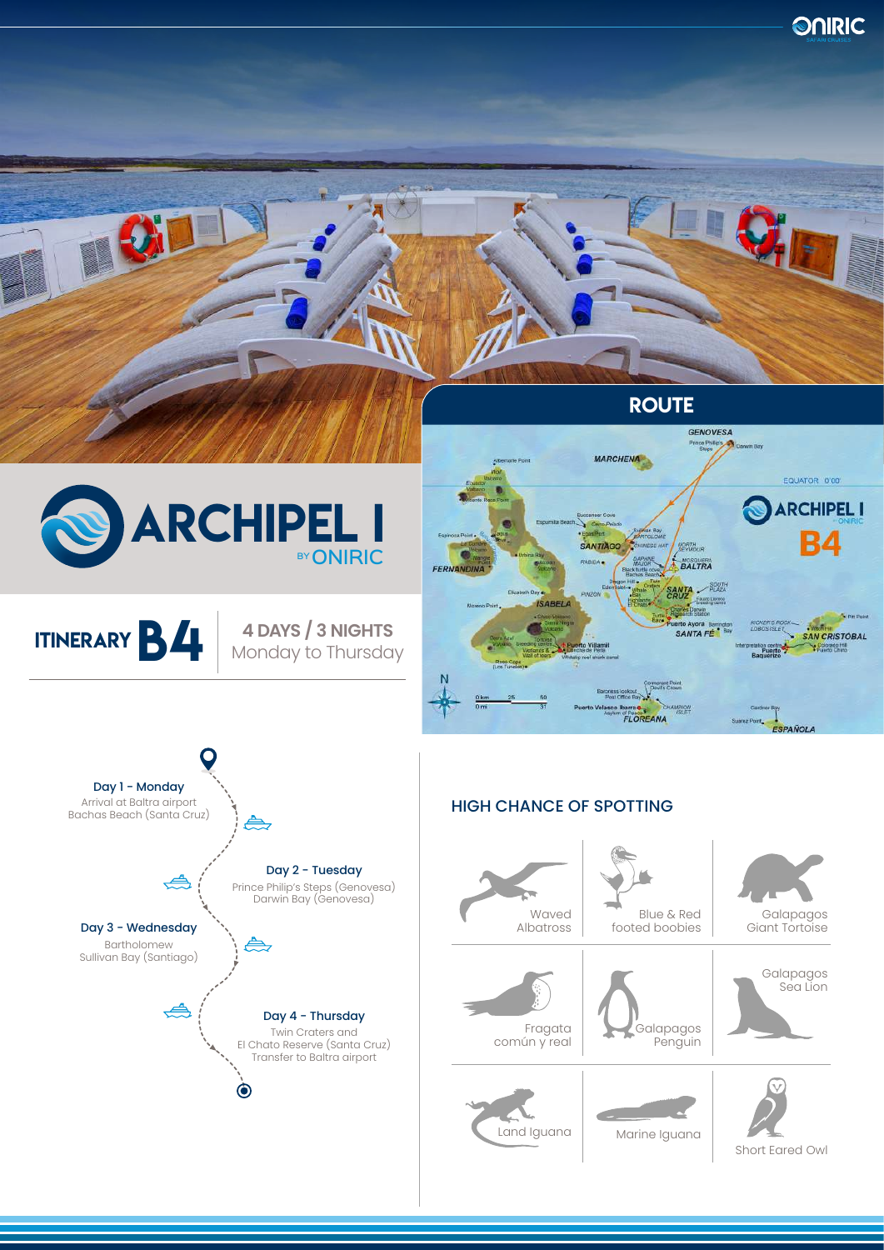

 $\ddot{\bullet}$ 

Land Iguana | Marine Iguana

Short Eared Owl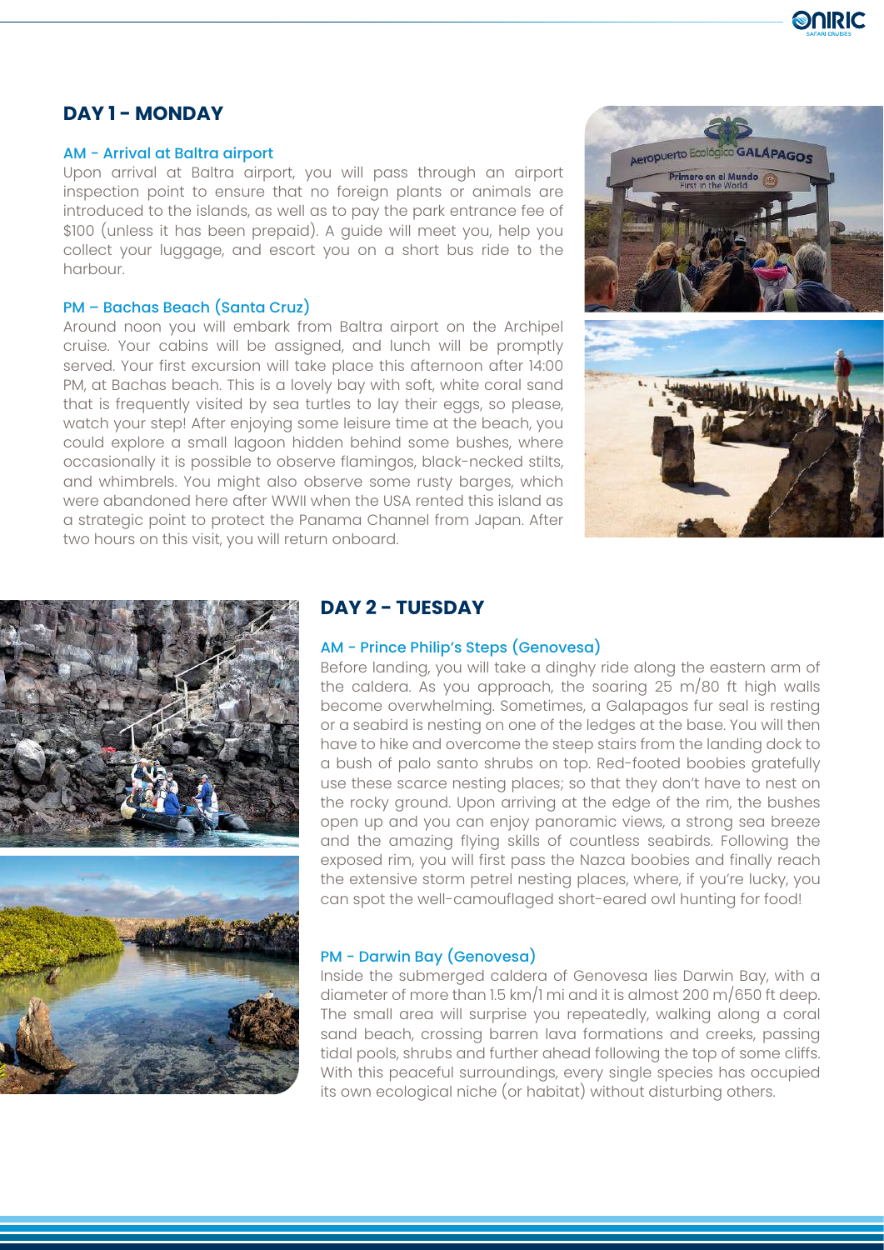# **DAY 1 - MONDAY**

#### AM - Arrival at Baltra airport

Upon arrival at Baltra airport, you will pass through an airport inspection point to ensure that no foreign plants or animals are introduced to the islands, as well as to pay the park entrance fee of \$100 (unless it has been prepaid). A guide will meet you, help you collect your luggage, and escort you on a short bus ride to the harbour.

## PM – Bachas Beach (Santa Cruz)

Around noon you will embark from Baltra airport on the Archipel cruise. Your cabins will be assigned, and lunch will be promptly served. Your first excursion will take place this afternoon after 14:00 PM, at Bachas beach. This is a lovely bay with soft, white coral sand that is frequently visited by sea turtles to lay their eggs, so please, watch your step! After enjoying some leisure time at the beach, you could explore a small lagoon hidden behind some bushes, where occasionally it is possible to observe flamingos, black-necked stilts, and whimbrels. You might also observe some rusty barges, which were abandoned here after WWII when the USA rented this island as a strategic point to protect the Panama Channel from Japan. After two hours on this visit, you will return onboard.





# **DAY 2 - TUESDAY**

## AM - Prince Philip's Steps (Genovesa)

Before landing, you will take a dinghy ride along the eastern arm of the caldera. As you approach, the soaring 25 m/80 ft high walls become overwhelming. Sometimes, a Galapagos fur seal is resting or a seabird is nesting on one of the ledges at the base. You will then have to hike and overcome the steep stairs from the landing dock to a bush of palo santo shrubs on top. Red-footed boobies gratefully use these scarce nesting places; so that they don't have to nest on the rocky ground. Upon arriving at the edge of the rim, the bushes open up and you can enjoy panoramic views, a strong sea breeze and the amazing flying skills of countless seabirds. Following the exposed rim, you will first pass the Nazca boobies and finally reach the extensive storm petrel nesting places, where, if you're lucky, you can spot the well-camouflaged short-eared owl hunting for food!

## PM - Darwin Bay (Genovesa)

Inside the submerged caldera of Genovesa lies Darwin Bay, with a diameter of more than 1.5 km/1 mi and it is almost 200 m/650 ft deep. The small area will surprise you repeatedly, walking along a coral sand beach, crossing barren lava formations and creeks, passing tidal pools, shrubs and further ahead following the top of some cliffs. With this peaceful surroundings, every single species has occupied its own ecological niche (or habitat) without disturbing others.